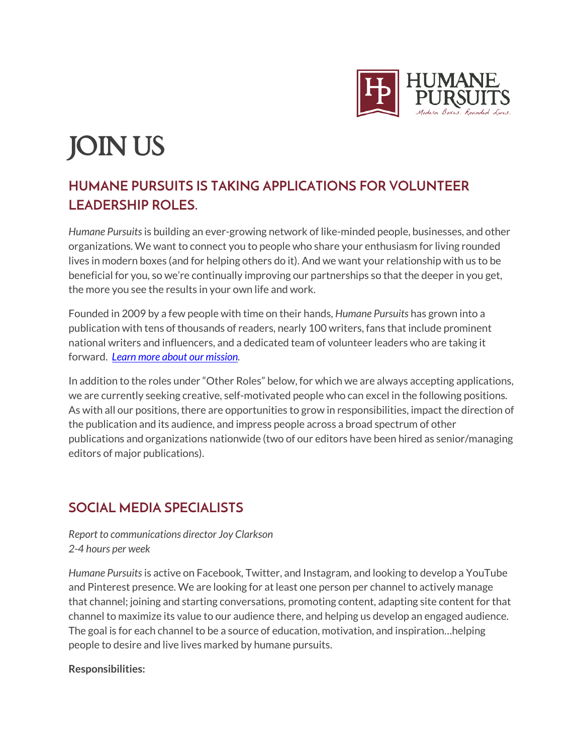

# JOIN US

# **HUMANE PURSUITS IS TAKING APPLICATIONS FOR VOLUNTEER LEADERSHIP ROLES.**

*Humane Pursuits* is building an ever-growing network of like-minded people, businesses, and other organizations. We want to connect you to people who share your enthusiasm for living rounded lives in modern boxes (and for helping others do it). And we want your relationship with us to be beneficial for you, so we're continually improving our partnerships so that the deeper in you get, the more you see the results in your own life and work.

Founded in 2009 by a few people with time on their hands, *Humane Pursuits* has grown into a publication with tens of thousands of readers, nearly 100 writers, fans that include prominent national writers and influencers, and a dedicated team of volunteer leaders who are taking it forward. *[Learn more about our mission.](http://humanepursuits.com/about-2/)*

In addition to the roles under "Other Roles" below, for which we are always accepting applications, we are currently seeking creative, self-motivated people who can excel in the following positions. As with all our positions, there are opportunities to grow in responsibilities, impact the direction of the publication and its audience, and impress people across a broad spectrum of other publications and organizations nationwide (two of our editors have been hired as senior/managing editors of major publications).

# **SOCIAL MEDIA SPECIALISTS**

*Report to communications director Joy Clarkson 2-4 hours per week*

*Humane Pursuits* is active on Facebook, Twitter, and Instagram, and looking to develop a YouTube and Pinterest presence. We are looking for at least one person per channel to actively manage that channel; joining and starting conversations, promoting content, adapting site content for that channel to maximize its value to our audience there, and helping us develop an engaged audience. The goal is for each channel to be a source of education, motivation, and inspiration…helping people to desire and live lives marked by humane pursuits.

## **Responsibilities:**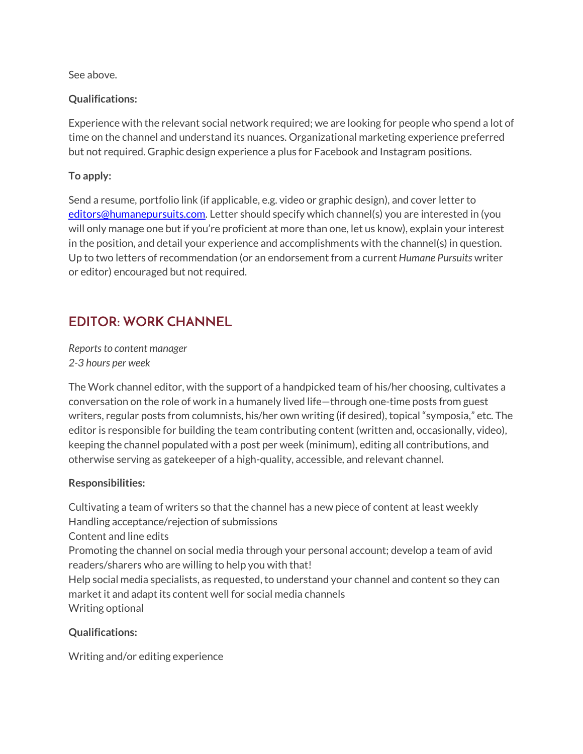See above.

## **Qualifications:**

Experience with the relevant social network required; we are looking for people who spend a lot of time on the channel and understand its nuances. Organizational marketing experience preferred but not required. Graphic design experience a plus for Facebook and Instagram positions.

# **To apply:**

Send a resume, portfolio link (if applicable, e.g. video or graphic design), and cover letter to [editors@humanepursuits.com.](mailto:editors@humanepursuits.com) Letter should specify which channel(s) you are interested in (you will only manage one but if you're proficient at more than one, let us know), explain your interest in the position, and detail your experience and accomplishments with the channel(s) in question. Up to two letters of recommendation (or an endorsement from a current *Humane Pursuits* writer or editor) encouraged but not required.

# **EDITOR: WORK CHANNEL**

*Reports to content manager 2-3 hours per week*

The Work channel editor, with the support of a handpicked team of his/her choosing, cultivates a conversation on the role of work in a humanely lived life—through one-time posts from guest writers, regular posts from columnists, his/her own writing (if desired), topical "symposia," etc. The editor is responsible for building the team contributing content (written and, occasionally, video), keeping the channel populated with a post per week (minimum), editing all contributions, and otherwise serving as gatekeeper of a high-quality, accessible, and relevant channel.

## **Responsibilities:**

Cultivating a team of writers so that the channel has a new piece of content at least weekly Handling acceptance/rejection of submissions Content and line edits Promoting the channel on social media through your personal account; develop a team of avid readers/sharers who are willing to help you with that! Help social media specialists, as requested, to understand your channel and content so they can market it and adapt its content well for social media channels Writing optional

## **Qualifications:**

Writing and/or editing experience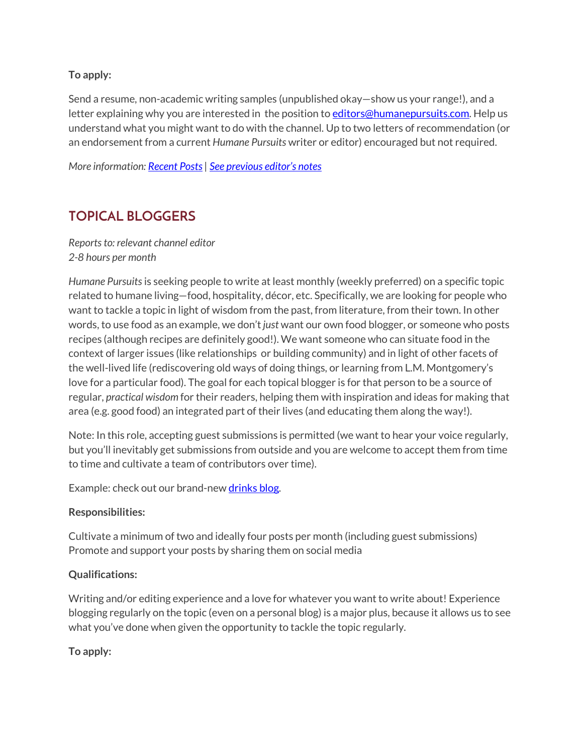### **To apply:**

Send a resume, non-academic writing samples (unpublished okay—show us your range!), and a letter explaining why you are interested in the position to **editors@humanepursuits.com**. Help us understand what you might want to do with the channel. Up to two letters of recommendation (or an endorsement from a current *Humane Pursuits* writer or editor) encouraged but not required.

*More information: [Recent Posts|](http://humanepursuits.com/category/work/) [See previous editor's notes](http://humanepursuits.com/work-channel-vision/)*

# **TOPICAL BLOGGERS**

*Reports to: relevant channel editor 2-8 hours per month*

*Humane Pursuits* is seeking people to write at least monthly (weekly preferred) on a specific topic related to humane living—food, hospitality, décor, etc. Specifically, we are looking for people who want to tackle a topic in light of wisdom from the past, from literature, from their town. In other words, to use food as an example, we don't *just* want our own food blogger, or someone who posts recipes (although recipes are definitely good!). We want someone who can situate food in the context of larger issues (like relationships or building community) and in light of other facets of the well-lived life (rediscovering old ways of doing things, or learning from L.M. Montgomery's love for a particular food). The goal for each topical blogger is for that person to be a source of regular, *practical wisdom* for their readers, helping them with inspiration and ideas for making that area (e.g. good food) an integrated part of their lives (and educating them along the way!).

Note: In this role, accepting guest submissions is permitted (we want to hear your voice regularly, but you'll inevitably get submissions from outside and you are welcome to accept them from time to time and cultivate a team of contributors over time).

Example: check out our brand-ne[w drinks blog.](http://humanepursuits.com/category/drinks)

#### **Responsibilities:**

Cultivate a minimum of two and ideally four posts per month (including guest submissions) Promote and support your posts by sharing them on social media

## **Qualifications:**

Writing and/or editing experience and a love for whatever you want to write about! Experience blogging regularly on the topic (even on a personal blog) is a major plus, because it allows us to see what you've done when given the opportunity to tackle the topic regularly.

**To apply:**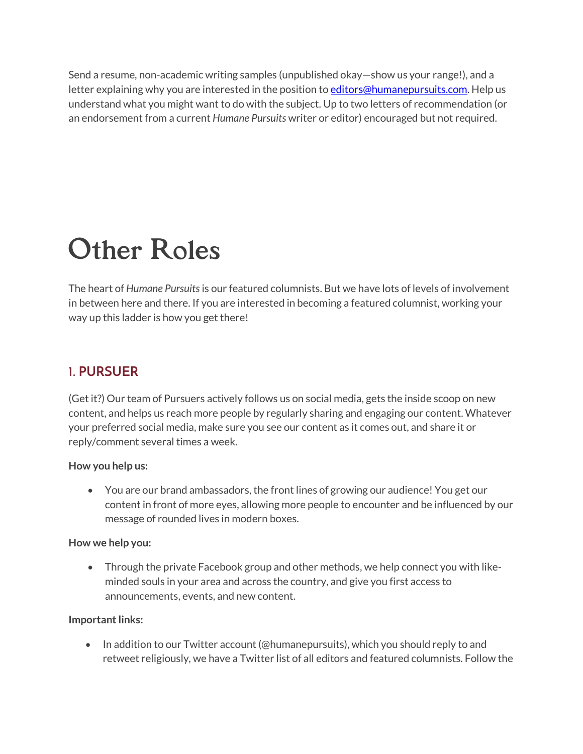Send a resume, non-academic writing samples (unpublished okay—show us your range!), and a letter explaining why you are interested in the position t[o editors@humanepursuits.com.](mailto:editors@humanepursuits.com) Help us understand what you might want to do with the subject. Up to two letters of recommendation (or an endorsement from a current *Humane Pursuits* writer or editor) encouraged but not required.

# Other Roles

The heart of *Humane Pursuits* is our featured columnists. But we have lots of levels of involvement in between here and there. If you are interested in becoming a featured columnist, working your way up this ladder is how you get there!

# **1. PURSUER**

(Get it?) Our team of Pursuers actively follows us on social media, gets the inside scoop on new content, and helps us reach more people by regularly sharing and engaging our content. Whatever your preferred social media, make sure you see our content as it comes out, and share it or reply/comment several times a week.

## **How you help us:**

• You are our brand ambassadors, the front lines of growing our audience! You get our content in front of more eyes, allowing more people to encounter and be influenced by our message of rounded lives in modern boxes.

#### **How we help you:**

• Through the private Facebook group and other methods, we help connect you with likeminded souls in your area and across the country, and give you first access to announcements, events, and new content.

## **Important links:**

• In addition to our Twitter account (@humanepursuits), which you should reply to and retweet religiously, we have a Twitter list of all editors and featured columnists. Follow the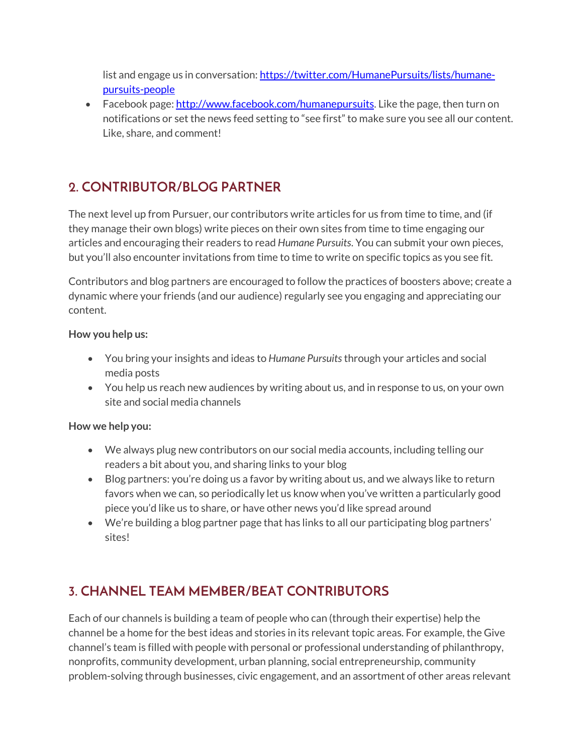list and engage us in conversation: [https://twitter.com/HumanePursuits/lists/humane](https://twitter.com/HumanePursuits/lists/humane-pursuits-people)[pursuits-people](https://twitter.com/HumanePursuits/lists/humane-pursuits-people)

• Facebook page: [http://www.facebook.com/humanepursuits.](http://www.facebook.com/humanepursuits) Like the page, then turn on notifications or set the news feed setting to "see first" to make sure you see all our content. Like, share, and comment!

# **2. CONTRIBUTOR/BLOG PARTNER**

The next level up from Pursuer, our contributors write articles for us from time to time, and (if they manage their own blogs) write pieces on their own sites from time to time engaging our articles and encouraging their readers to read *Humane Pursuits*. You can submit your own pieces, but you'll also encounter invitations from time to time to write on specific topics as you see fit.

Contributors and blog partners are encouraged to follow the practices of boosters above; create a dynamic where your friends (and our audience) regularly see you engaging and appreciating our content.

# **How you help us:**

- You bring your insights and ideas to *Humane Pursuits* through your articles and social media posts
- You help us reach new audiences by writing about us, and in response to us, on your own site and social media channels

# **How we help you:**

- We always plug new contributors on our social media accounts, including telling our readers a bit about you, and sharing links to your blog
- Blog partners: you're doing us a favor by writing about us, and we always like to return favors when we can, so periodically let us know when you've written a particularly good piece you'd like us to share, or have other news you'd like spread around
- We're building a blog partner page that has links to all our participating blog partners' sites!

# **3. CHANNEL TEAM MEMBER/BEAT CONTRIBUTORS**

Each of our channels is building a team of people who can (through their expertise) help the channel be a home for the best ideas and stories in its relevant topic areas. For example, the Give channel's team is filled with people with personal or professional understanding of philanthropy, nonprofits, community development, urban planning, social entrepreneurship, community problem-solving through businesses, civic engagement, and an assortment of other areas relevant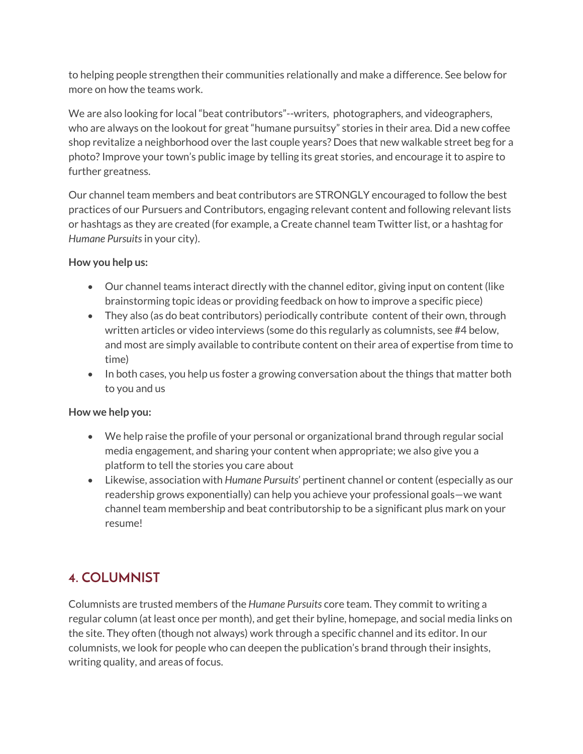to helping people strengthen their communities relationally and make a difference. See below for more on how the teams work.

We are also looking for local "beat contributors"--writers, photographers, and videographers, who are always on the lookout for great "humane pursuitsy" stories in their area. Did a new coffee shop revitalize a neighborhood over the last couple years? Does that new walkable street beg for a photo? Improve your town's public image by telling its great stories, and encourage it to aspire to further greatness.

Our channel team members and beat contributors are STRONGLY encouraged to follow the best practices of our Pursuers and Contributors, engaging relevant content and following relevant lists or hashtags as they are created (for example, a Create channel team Twitter list, or a hashtag for *Humane Pursuits* in your city).

# **How you help us:**

- Our channel teams interact directly with the channel editor, giving input on content (like brainstorming topic ideas or providing feedback on how to improve a specific piece)
- They also (as do beat contributors) periodically contribute content of their own, through written articles or video interviews (some do this regularly as columnists, see #4 below, and most are simply available to contribute content on their area of expertise from time to time)
- In both cases, you help us foster a growing conversation about the things that matter both to you and us

# **How we help you:**

- We help raise the profile of your personal or organizational brand through regular social media engagement, and sharing your content when appropriate; we also give you a platform to tell the stories you care about
- Likewise, association with *Humane Pursuits*' pertinent channel or content (especially as our readership grows exponentially) can help you achieve your professional goals—we want channel team membership and beat contributorship to be a significant plus mark on your resume!

# **4. COLUMNIST**

Columnists are trusted members of the *Humane Pursuits* core team. They commit to writing a regular column (at least once per month), and get their byline, homepage, and social media links on the site. They often (though not always) work through a specific channel and its editor. In our columnists, we look for people who can deepen the publication's brand through their insights, writing quality, and areas of focus.